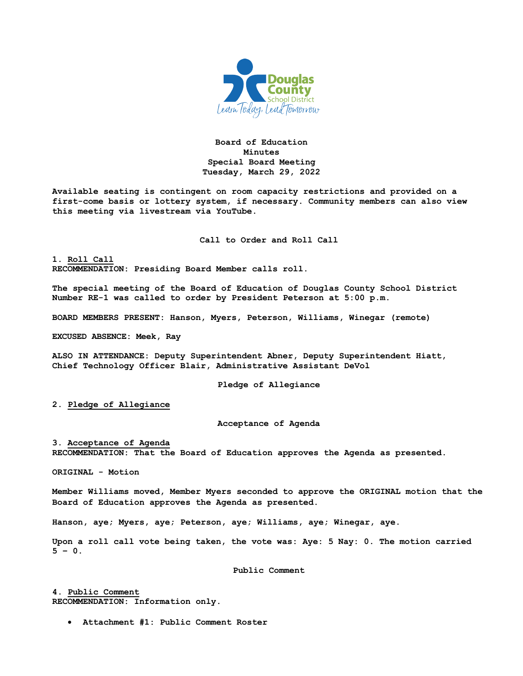

**Board of Education Minutes Special Board Meeting Tuesday, March 29, 2022**

**Available seating is contingent on room capacity restrictions and provided on a first-come basis or lottery system, if necessary. Community members can also view this meeting via livestream via YouTube.**

**Call to Order and Roll Call**

**1. Roll Call RECOMMENDATION: Presiding Board Member calls roll.**

**The special meeting of the Board of Education of Douglas County School District Number RE-1 was called to order by President Peterson at 5:00 p.m.**

**BOARD MEMBERS PRESENT: Hanson, Myers, Peterson, Williams, Winegar (remote)**

**EXCUSED ABSENCE: Meek, Ray**

**ALSO IN ATTENDANCE: Deputy Superintendent Abner, Deputy Superintendent Hiatt, Chief Technology Officer Blair, Administrative Assistant DeVol**

**Pledge of Allegiance**

**2. Pledge of Allegiance**

**Acceptance of Agenda**

**3. Acceptance of Agenda RECOMMENDATION: That the Board of Education approves the Agenda as presented.**

**ORIGINAL - Motion** 

**Member Williams moved, Member Myers seconded to approve the ORIGINAL motion that the Board of Education approves the Agenda as presented.** 

**Hanson, aye; Myers, aye; Peterson, aye; Williams, aye; Winegar, aye.**

**Upon a roll call vote being taken, the vote was: Aye: 5 Nay: 0. The motion carried**  $5 - 0.$ 

**Public Comment**

**4. Public Comment RECOMMENDATION: Information only.**

• **Attachment #1: Public Comment Roster**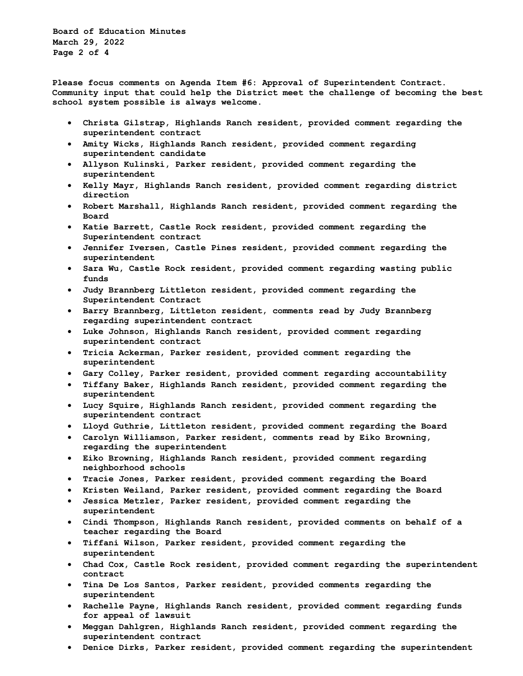**Board of Education Minutes March 29, 2022 Page 2 of 4**

**Please focus comments on Agenda Item #6: Approval of Superintendent Contract. Community input that could help the District meet the challenge of becoming the best school system possible is always welcome.** 

- **Christa Gilstrap, Highlands Ranch resident, provided comment regarding the superintendent contract**
- **Amity Wicks, Highlands Ranch resident, provided comment regarding superintendent candidate**
- **Allyson Kulinski, Parker resident, provided comment regarding the superintendent**
- **Kelly Mayr, Highlands Ranch resident, provided comment regarding district direction**
- **Robert Marshall, Highlands Ranch resident, provided comment regarding the Board**
- **Katie Barrett, Castle Rock resident, provided comment regarding the Superintendent contract**
- **Jennifer Iversen, Castle Pines resident, provided comment regarding the superintendent**
- **Sara Wu, Castle Rock resident, provided comment regarding wasting public funds**
- **Judy Brannberg Littleton resident, provided comment regarding the Superintendent Contract**
- **Barry Brannberg, Littleton resident, comments read by Judy Brannberg regarding superintendent contract**
- **Luke Johnson, Highlands Ranch resident, provided comment regarding superintendent contract**
- **Tricia Ackerman, Parker resident, provided comment regarding the superintendent**
- **Gary Colley, Parker resident, provided comment regarding accountability**
- **Tiffany Baker, Highlands Ranch resident, provided comment regarding the superintendent**
- **Lucy Squire, Highlands Ranch resident, provided comment regarding the superintendent contract**
- **Lloyd Guthrie, Littleton resident, provided comment regarding the Board**
- **Carolyn Williamson, Parker resident, comments read by Eiko Browning, regarding the superintendent**
- **Eiko Browning, Highlands Ranch resident, provided comment regarding neighborhood schools**
- **Tracie Jones, Parker resident, provided comment regarding the Board**
- **Kristen Weiland, Parker resident, provided comment regarding the Board**
- **Jessica Metzler, Parker resident, provided comment regarding the superintendent**
- **Cindi Thompson, Highlands Ranch resident, provided comments on behalf of a teacher regarding the Board**
- **Tiffani Wilson, Parker resident, provided comment regarding the superintendent**
- **Chad Cox, Castle Rock resident, provided comment regarding the superintendent contract**
- **Tina De Los Santos, Parker resident, provided comments regarding the superintendent**
- **Rachelle Payne, Highlands Ranch resident, provided comment regarding funds for appeal of lawsuit**
- **Meggan Dahlgren, Highlands Ranch resident, provided comment regarding the superintendent contract**
- **Denice Dirks, Parker resident, provided comment regarding the superintendent**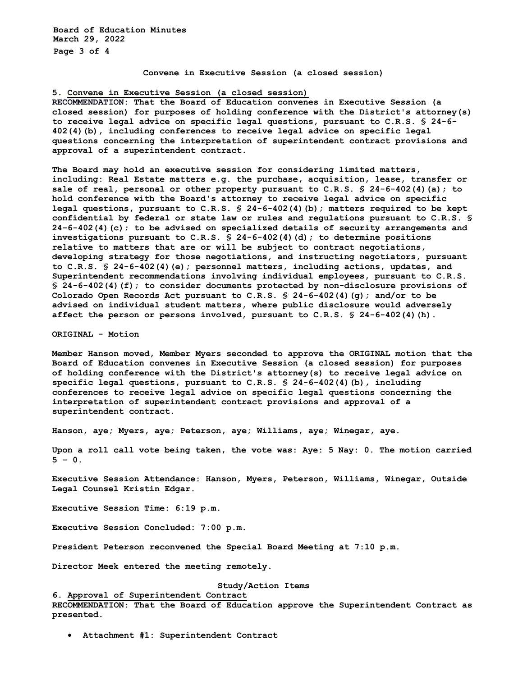**Board of Education Minutes March 29, 2022 Page 3 of 4** 

#### **Convene in Executive Session (a closed session)**

# **5. Convene in Executive Session (a closed session)**

**RECOMMENDATION: That the Board of Education convenes in Executive Session (a closed session) for purposes of holding conference with the District's attorney(s) to receive legal advice on specific legal questions, pursuant to C.R.S. § 24-6- 402(4)(b), including conferences to receive legal advice on specific legal questions concerning the interpretation of superintendent contract provisions and approval of a superintendent contract.**

**The Board may hold an executive session for considering limited matters, including: Real Estate matters e.g. the purchase, acquisition, lease, transfer or sale of real, personal or other property pursuant to C.R.S. § 24-6-402(4)(a); to hold conference with the Board's attorney to receive legal advice on specific legal questions, pursuant to C.R.S. § 24-6-402(4)(b); matters required to be kept confidential by federal or state law or rules and regulations pursuant to C.R.S. § 24-6-402(4)(c); to be advised on specialized details of security arrangements and investigations pursuant to C.R.S. § 24-6-402(4)(d); to determine positions relative to matters that are or will be subject to contract negotiations, developing strategy for those negotiations, and instructing negotiators, pursuant to C.R.S. § 24-6-402(4)(e); personnel matters, including actions, updates, and Superintendent recommendations involving individual employees, pursuant to C.R.S. § 24-6-402(4)(f); to consider documents protected by non-disclosure provisions of Colorado Open Records Act pursuant to C.R.S. § 24-6-402(4)(g); and/or to be advised on individual student matters, where public disclosure would adversely affect the person or persons involved, pursuant to C.R.S. § 24-6-402(4)(h).** 

### **ORIGINAL - Motion**

**Member Hanson moved, Member Myers seconded to approve the ORIGINAL motion that the Board of Education convenes in Executive Session (a closed session) for purposes of holding conference with the District's attorney(s) to receive legal advice on specific legal questions, pursuant to C.R.S. § 24-6-402(4)(b), including conferences to receive legal advice on specific legal questions concerning the interpretation of superintendent contract provisions and approval of a superintendent contract.** 

**Hanson, aye; Myers, aye; Peterson, aye; Williams, aye; Winegar, aye.** 

**Upon a roll call vote being taken, the vote was: Aye: 5 Nay: 0. The motion carried**   $5 - 0.$ 

**Executive Session Attendance: Hanson, Myers, Peterson, Williams, Winegar, Outside Legal Counsel Kristin Edgar.** 

**Executive Session Time: 6:19 p.m.** 

**Executive Session Concluded: 7:00 p.m.** 

**President Peterson reconvened the Special Board Meeting at 7:10 p.m.** 

**Director Meek entered the meeting remotely.** 

### **Study/Action Items**

# **6. Approval of Superintendent Contract**

**RECOMMENDATION**: **That the Board of Education approve the Superintendent Contract as presented.**

• **Attachment #1: Superintendent Contract**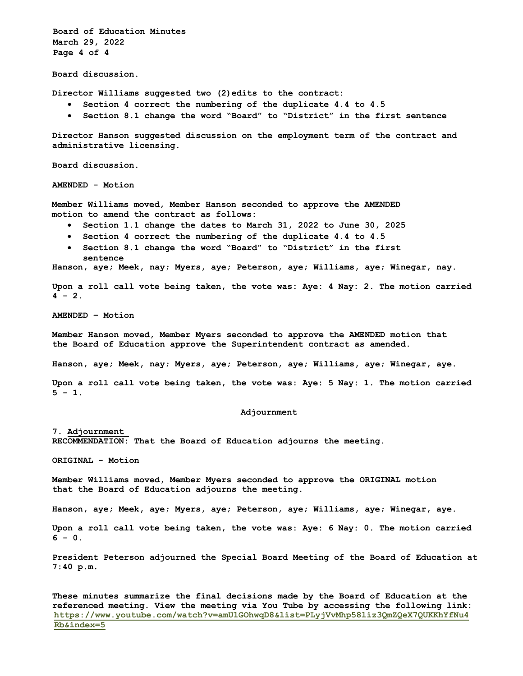**Board of Education Minutes March 29, 2022 Page 4 of 4** 

**Board discussion.**

**Director Williams suggested two (2)edits to the contract:**

- **Section 4 correct the numbering of the duplicate 4.4 to 4.5**
- **Section 8.1 change the word "Board" to "District" in the first sentence**

**Director Hanson suggested discussion on the employment term of the contract and administrative licensing.** 

**Board discussion.** 

**AMENDED - Motion** 

**Member Williams moved, Member Hanson seconded to approve the AMENDED motion to amend the contract as follows:** 

- **Section 1.1 change the dates to March 31, 2022 to June 30, 2025**
- **Section 4 correct the numbering of the duplicate 4.4 to 4.5**
- **Section 8.1 change the word "Board" to "District" in the first sentence**

**Hanson, aye; Meek, nay; Myers, aye; Peterson, aye; Williams, aye; Winegar, nay.**

**Upon a roll call vote being taken, the vote was: Aye: 4 Nay: 2. The motion carried 4 - 2.**

**AMENDED – Motion**

**Member Hanson moved, Member Myers seconded to approve the AMENDED motion that the Board of Education approve the Superintendent contract as amended.**

**Hanson, aye; Meek, nay; Myers, aye; Peterson, aye; Williams, aye; Winegar, aye.** 

**Upon a roll call vote being taken, the vote was: Aye: 5 Nay: 1. The motion carried**  $5 - 1$ .

### **Adjournment**

**7. Adjournment RECOMMENDATION: That the Board of Education adjourns the meeting.** 

**ORIGINAL - Motion** 

**Member Williams moved, Member Myers seconded to approve the ORIGINAL motion that the Board of Education adjourns the meeting.** 

**Hanson, aye; Meek, aye; Myers, aye; Peterson, aye; Williams, aye; Winegar, aye.**

**Upon a roll call vote being taken, the vote was: Aye: 6 Nay: 0. The motion carried 6 - 0.**

**President Peterson adjourned the Special Board Meeting of the Board of Education at 7:40 p.m.**

**These minutes summarize the final decisions made by the Board of Education at the referenced meeting. View the meeting via You Tube by accessing the following link: https://www.youtube.com/watch?v=amU1GOhwqD8&list=PLyjVvMhp58liz3QmZQeX7QUKKhYfNu4 Rb&index=5**